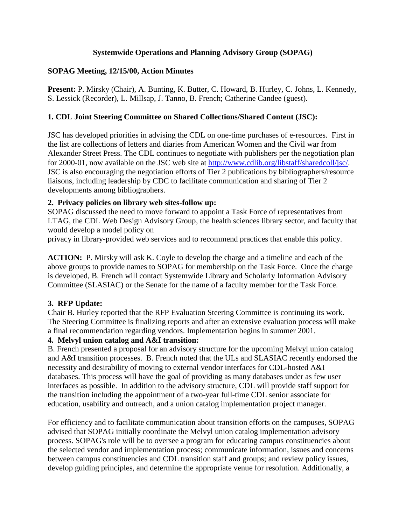## **Systemwide Operations and Planning Advisory Group (SOPAG)**

## **SOPAG Meeting, 12/15/00, Action Minutes**

**Present:** P. Mirsky (Chair), A. Bunting, K. Butter, C. Howard, B. Hurley, C. Johns, L. Kennedy, S. Lessick (Recorder), L. Millsap, J. Tanno, B. French; Catherine Candee (guest).

# **1. CDL Joint Steering Committee on Shared Collections/Shared Content (JSC):**

JSC has developed priorities in advising the CDL on one-time purchases of e-resources. First in the list are collections of letters and diaries from American Women and the Civil war from Alexander Street Press. The CDL continues to negotiate with publishers per the negotiation plan for 2000-01, now available on the JSC web site at [http://www.cdlib.org/libstaff/sharedcoll/jsc/.](http://www.cdlib.org/libstaff/sharedcoll/jsc/) JSC is also encouraging the negotiation efforts of Tier 2 publications by bibliographers/resource liaisons, including leadership by CDC to facilitate communication and sharing of Tier 2 developments among bibliographers.

# **2. Privacy policies on library web sites-follow up:**

SOPAG discussed the need to move forward to appoint a Task Force of representatives from LTAG, the CDL Web Design Advisory Group, the health sciences library sector, and faculty that would develop a model policy on

privacy in library-provided web services and to recommend practices that enable this policy.

**ACTION:** P. Mirsky will ask K. Coyle to develop the charge and a timeline and each of the above groups to provide names to SOPAG for membership on the Task Force. Once the charge is developed, B. French will contact Systemwide Library and Scholarly Information Advisory Committee (SLASIAC) or the Senate for the name of a faculty member for the Task Force.

### **3. RFP Update:**

Chair B. Hurley reported that the RFP Evaluation Steering Committee is continuing its work. The Steering Committee is finalizing reports and after an extensive evaluation process will make a final recommendation regarding vendors. Implementation begins in summer 2001.

### **4. Melvyl union catalog and A&I transition:**

B. French presented a proposal for an advisory structure for the upcoming Melvyl union catalog and A&I transition processes. B. French noted that the ULs and SLASIAC recently endorsed the necessity and desirability of moving to external vendor interfaces for CDL-hosted A&I databases. This process will have the goal of providing as many databases under as few user interfaces as possible. In addition to the advisory structure, CDL will provide staff support for the transition including the appointment of a two-year full-time CDL senior associate for education, usability and outreach, and a union catalog implementation project manager.

For efficiency and to facilitate communication about transition efforts on the campuses, SOPAG advised that SOPAG initially coordinate the Melvyl union catalog implementation advisory process. SOPAG's role will be to oversee a program for educating campus constituencies about the selected vendor and implementation process; communicate information, issues and concerns between campus constituencies and CDL transition staff and groups; and review policy issues, develop guiding principles, and determine the appropriate venue for resolution. Additionally, a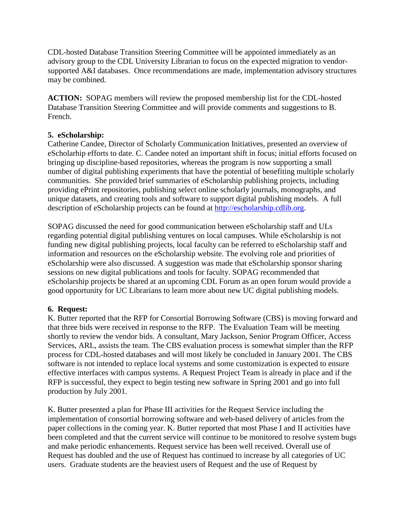CDL-hosted Database Transition Steering Committee will be appointed immediately as an advisory group to the CDL University Librarian to focus on the expected migration to vendorsupported A&I databases. Once recommendations are made, implementation advisory structures may be combined.

**ACTION:** SOPAG members will review the proposed membership list for the CDL-hosted Database Transition Steering Committee and will provide comments and suggestions to B. French.

# **5. eScholarship:**

Catherine Candee, Director of Scholarly Communication Initiatives, presented an overview of eScholarhip efforts to date. C. Candee noted an important shift in focus; initial efforts focused on bringing up discipline-based repositories, whereas the program is now supporting a small number of digital publishing experiments that have the potential of benefiting multiple scholarly communities. She provided brief summaries of eScholarship publishing projects, including providing ePrint repositories, publishing select online scholarly journals, monographs, and unique datasets, and creating tools and software to support digital publishing models. A full description of eScholarship projects can be found at [http://escholarship.cdlib.org.](http://escholarship.cdlib.org/)

SOPAG discussed the need for good communication between eScholarship staff and ULs regarding potential digital publishing ventures on local campuses. While eScholarship is not funding new digital publishing projects, local faculty can be referred to eScholarship staff and information and resources on the eScholarship website. The evolving role and priorities of eScholarship were also discussed. A suggestion was made that eScholarship sponsor sharing sessions on new digital publications and tools for faculty. SOPAG recommended that eScholarship projects be shared at an upcoming CDL Forum as an open forum would provide a good opportunity for UC Librarians to learn more about new UC digital publishing models.

### **6. Request:**

K. Butter reported that the RFP for Consortial Borrowing Software (CBS) is moving forward and that three bids were received in response to the RFP. The Evaluation Team will be meeting shortly to review the vendor bids. A consultant, Mary Jackson, Senior Program Officer, Access Services, ARL, assists the team. The CBS evaluation process is somewhat simpler than the RFP process for CDL-hosted databases and will most likely be concluded in January 2001. The CBS software is not intended to replace local systems and some customization is expected to ensure effective interfaces with campus systems. A Request Project Team is already in place and if the RFP is successful, they expect to begin testing new software in Spring 2001 and go into full production by July 2001.

K. Butter presented a plan for Phase III activities for the Request Service including the implementation of consortial borrowing software and web-based delivery of articles from the paper collections in the coming year. K. Butter reported that most Phase I and II activities have been completed and that the current service will continue to be monitored to resolve system bugs and make periodic enhancements. Request service has been well received. Overall use of Request has doubled and the use of Request has continued to increase by all categories of UC users. Graduate students are the heaviest users of Request and the use of Request by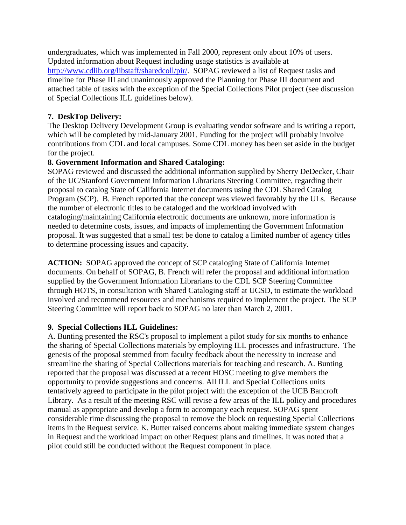undergraduates, which was implemented in Fall 2000, represent only about 10% of users. Updated information about Request including usage statistics is available at [http://www.cdlib.org/libstaff/sharedcoll/pir/.](http://www.cdlib.org/libstaff/sharedcoll/pir/) SOPAG reviewed a list of Request tasks and timeline for Phase III and unanimously approved the Planning for Phase III document and attached table of tasks with the exception of the Special Collections Pilot project (see discussion of Special Collections ILL guidelines below).

## **7. DeskTop Delivery:**

The Desktop Delivery Development Group is evaluating vendor software and is writing a report, which will be completed by mid-January 2001. Funding for the project will probably involve contributions from CDL and local campuses. Some CDL money has been set aside in the budget for the project.

### **8. Government Information and Shared Cataloging:**

SOPAG reviewed and discussed the additional information supplied by Sherry DeDecker, Chair of the UC/Stanford Government Information Librarians Steering Committee, regarding their proposal to catalog State of California Internet documents using the CDL Shared Catalog Program (SCP). B. French reported that the concept was viewed favorably by the ULs. Because the number of electronic titles to be cataloged and the workload involved with cataloging/maintaining California electronic documents are unknown, more information is needed to determine costs, issues, and impacts of implementing the Government Information proposal. It was suggested that a small test be done to catalog a limited number of agency titles to determine processing issues and capacity.

**ACTION:** SOPAG approved the concept of SCP cataloging State of California Internet documents. On behalf of SOPAG, B. French will refer the proposal and additional information supplied by the Government Information Librarians to the CDL SCP Steering Committee through HOTS, in consultation with Shared Cataloging staff at UCSD, to estimate the workload involved and recommend resources and mechanisms required to implement the project. The SCP Steering Committee will report back to SOPAG no later than March 2, 2001.

### **9. Special Collections ILL Guidelines:**

A. Bunting presented the RSC's proposal to implement a pilot study for six months to enhance the sharing of Special Collections materials by employing ILL processes and infrastructure. The genesis of the proposal stemmed from faculty feedback about the necessity to increase and streamline the sharing of Special Collections materials for teaching and research. A. Bunting reported that the proposal was discussed at a recent HOSC meeting to give members the opportunity to provide suggestions and concerns. All ILL and Special Collections units tentatively agreed to participate in the pilot project with the exception of the UCB Bancroft Library. As a result of the meeting RSC will revise a few areas of the ILL policy and procedures manual as appropriate and develop a form to accompany each request. SOPAG spent considerable time discussing the proposal to remove the block on requesting Special Collections items in the Request service. K. Butter raised concerns about making immediate system changes in Request and the workload impact on other Request plans and timelines. It was noted that a pilot could still be conducted without the Request component in place.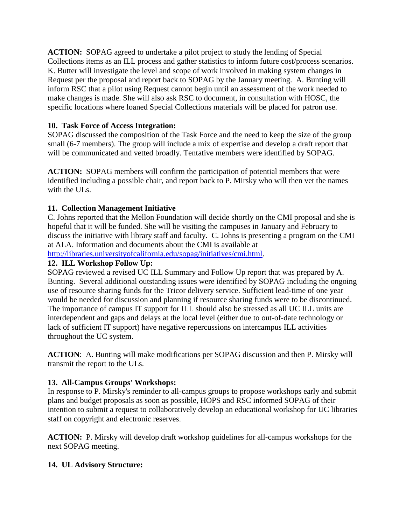**ACTION:** SOPAG agreed to undertake a pilot project to study the lending of Special Collections items as an ILL process and gather statistics to inform future cost/process scenarios. K. Butter will investigate the level and scope of work involved in making system changes in Request per the proposal and report back to SOPAG by the January meeting. A. Bunting will inform RSC that a pilot using Request cannot begin until an assessment of the work needed to make changes is made. She will also ask RSC to document, in consultation with HOSC, the specific locations where loaned Special Collections materials will be placed for patron use.

# **10. Task Force of Access Integration:**

SOPAG discussed the composition of the Task Force and the need to keep the size of the group small (6-7 members). The group will include a mix of expertise and develop a draft report that will be communicated and vetted broadly. Tentative members were identified by SOPAG.

**ACTION:** SOPAG members will confirm the participation of potential members that were identified including a possible chair, and report back to P. Mirsky who will then vet the names with the ULs.

# **11. Collection Management Initiative**

C. Johns reported that the Mellon Foundation will decide shortly on the CMI proposal and she is hopeful that it will be funded. She will be visiting the campuses in January and February to discuss the initiative with library staff and faculty. C. Johns is presenting a program on the CMI at ALA. Information and documents about the CMI is available at

[http://libraries.universityofcalifornia.edu/sopag/initiatives/cmi.html.](http://libraries.universityofcalifornia.edu/sopag/initiatives/cmi.html)

## **12. ILL Workshop Follow Up:**

SOPAG reviewed a revised UC ILL Summary and Follow Up report that was prepared by A. Bunting. Several additional outstanding issues were identified by SOPAG including the ongoing use of resource sharing funds for the Tricor delivery service. Sufficient lead-time of one year would be needed for discussion and planning if resource sharing funds were to be discontinued. The importance of campus IT support for ILL should also be stressed as all UC ILL units are interdependent and gaps and delays at the local level (either due to out-of-date technology or lack of sufficient IT support) have negative repercussions on intercampus ILL activities throughout the UC system.

**ACTION**: A. Bunting will make modifications per SOPAG discussion and then P. Mirsky will transmit the report to the ULs.

# **13. All-Campus Groups' Workshops:**

In response to P. Mirsky's reminder to all-campus groups to propose workshops early and submit plans and budget proposals as soon as possible, HOPS and RSC informed SOPAG of their intention to submit a request to collaboratively develop an educational workshop for UC libraries staff on copyright and electronic reserves.

**ACTION:** P. Mirsky will develop draft workshop guidelines for all-campus workshops for the next SOPAG meeting.

# **14. UL Advisory Structure:**